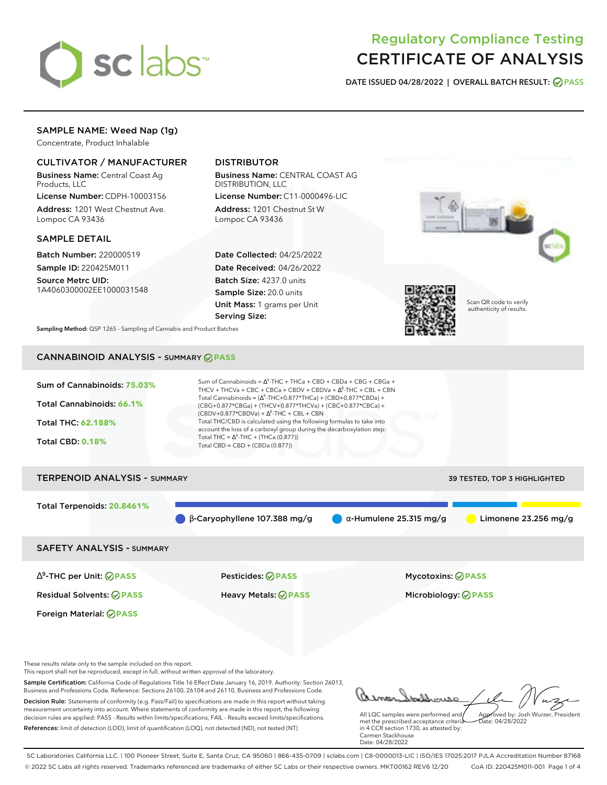

## Regulatory Compliance Testing CERTIFICATE OF ANALYSIS

**DATE ISSUED 04/28/2022 | OVERALL BATCH RESULT: PASS**

## SAMPLE NAME: Weed Nap (1g)

Concentrate, Product Inhalable

## CULTIVATOR / MANUFACTURER

Business Name: Central Coast Ag Products, LLC

License Number: CDPH-10003156 Address: 1201 West Chestnut Ave. Lompoc CA 93436

### SAMPLE DETAIL

Batch Number: 220000519 Sample ID: 220425M011

Source Metrc UID: 1A4060300002EE1000031548

## DISTRIBUTOR

Business Name: CENTRAL COAST AG DISTRIBUTION, LLC

License Number: C11-0000496-LIC Address: 1201 Chestnut St W Lompoc CA 93436

Date Collected: 04/25/2022 Date Received: 04/26/2022 Batch Size: 4237.0 units Sample Size: 20.0 units Unit Mass: 1 grams per Unit Serving Size:



authenticity of results.

**Sampling Method:** QSP 1265 - Sampling of Cannabis and Product Batches

## CANNABINOID ANALYSIS - SUMMARY **PASS**

| Sum of Cannabinoids: 75.03% | Sum of Cannabinoids = $\Delta^9$ -THC + THCa + CBD + CBDa + CBG + CBGa +<br>THCV + THCVa + CBC + CBCa + CBDV + CBDVa + $\Delta^8$ -THC + CBL + CBN                                       |
|-----------------------------|------------------------------------------------------------------------------------------------------------------------------------------------------------------------------------------|
| Total Cannabinoids: 66.1%   | Total Cannabinoids = $(\Delta^9$ -THC+0.877*THCa) + (CBD+0.877*CBDa) +<br>(CBG+0.877*CBGa) + (THCV+0.877*THCVa) + (CBC+0.877*CBCa) +<br>$(CBDV+0.877*CBDVa) + \Delta^8$ -THC + CBL + CBN |
| <b>Total THC: 62.188%</b>   | Total THC/CBD is calculated using the following formulas to take into<br>account the loss of a carboxyl group during the decarboxylation step:                                           |
| <b>Total CBD: 0.18%</b>     | Total THC = $\Delta^9$ -THC + (THCa (0.877))<br>Total CBD = $CBD + (CBDa (0.877))$                                                                                                       |
|                             |                                                                                                                                                                                          |

# TERPENOID ANALYSIS - SUMMARY 39 TESTED, TOP 3 HIGHLIGHTED Total Terpenoids: **20.8461%**  $\bullet$  β-Caryophyllene 107.388 mg/g  $\bullet$  α-Humulene 25.315 mg/g  $\bullet$  Limonene 23.256 mg/g SAFETY ANALYSIS - SUMMARY

∆ 9 -THC per Unit: **PASS** Pesticides: **PASS** Mycotoxins: **PASS**

Foreign Material: **PASS**

Residual Solvents: **PASS** Heavy Metals: **PASS** Microbiology: **PASS**

These results relate only to the sample included on this report.

This report shall not be reproduced, except in full, without written approval of the laboratory.

Sample Certification: California Code of Regulations Title 16 Effect Date January 16, 2019. Authority: Section 26013, Business and Professions Code. Reference: Sections 26100, 26104 and 26110, Business and Professions Code. Decision Rule: Statements of conformity (e.g. Pass/Fail) to specifications are made in this report without taking measurement uncertainty into account. Where statements of conformity are made in this report, the following decision rules are applied: PASS - Results within limits/specifications, FAIL - Results exceed limits/specifications.

References: limit of detection (LOD), limit of quantification (LOQ), not detected (ND), not tested (NT)

Approved by: Josh Wurzer, President

 $hat(0.4/28/2022)$ 

All LQC samples were performed and met the prescribed acceptance criteria in 4 CCR section 1730, as attested by: Carmen Stackhouse Date: 04/28/2022

SC Laboratories California LLC. | 100 Pioneer Street, Suite E, Santa Cruz, CA 95060 | 866-435-0709 | sclabs.com | C8-0000013-LIC | ISO/IES 17025:2017 PJLA Accreditation Number 87168 © 2022 SC Labs all rights reserved. Trademarks referenced are trademarks of either SC Labs or their respective owners. MKT00162 REV6 12/20 CoA ID: 220425M011-001 Page 1 of 4